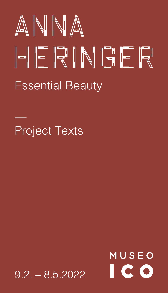

Project Texts

—



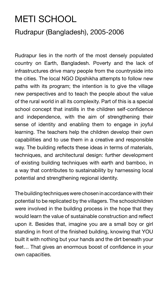### METI SCHOOL Rudrapur (Bangladesh), 2005-2006

Rudrapur lies in the north of the most densely populated country on Earth, Bangladesh. Poverty and the lack of infrastructures drive many people from the countryside into the cities. The local NGO Dipshikha attempts to follow new paths with its program; the intention is to give the village new perspectives and to teach the people about the value of the rural world in all its complexity. Part of this is a special school concept that instills in the children self-confidence and independence, with the aim of strengthening their sense of identity and enabling them to engage in joyful learning. The teachers help the children develop their own capabilities and to use them in a creative and responsible way. The building reflects these ideas in terms of materials, techniques, and architectural design: further development of existing building techniques with earth and bamboo, in a way that contributes to sustainability by harnessing local potential and strengthening regional identity.

The building techniques were chosen in accordance with their potential to be replicated by the villagers. The schoolchildren were involved in the building process in the hope that they would learn the value of sustainable construction and reflect upon it. Besides that, imagine you are a small boy or girl standing in front of the finished building, knowing that YOU built it with nothing but your hands and the dirt beneath your feet… That gives an enormous boost of confidence in your own capacities.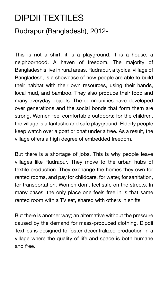### DIPDII TEXTILES

#### Rudrapur (Bangladesh), 2012-

This is not a shirt; it is a playground. It is a house, a neighborhood. A haven of freedom. The majority of Bangladeshis live in rural areas. Rudrapur, a typical village of Bangladesh, is a showcase of how people are able to build their habitat with their own resources, using their hands, local mud, and bamboo. They also produce their food and many everyday objects. The communities have developed over generations and the social bonds that form them are strong. Women feel comfortable outdoors; for the children, the village is a fantastic and safe playground. Elderly people keep watch over a goat or chat under a tree. As a result, the village offers a high degree of embedded freedom.

But there is a shortage of jobs. This is why people leave villages like Rudrapur. They move to the urban hubs of textile production. They exchange the homes they own for rented rooms, and pay for childcare, for water, for sanitation, for transportation. Women don't feel safe on the streets. In many cases, the only place one feels free in is that same rented room with a TV set, shared with others in shifts.

But there is another way; an alternative without the pressure caused by the demand for mass-produced clothing. Dipdii Textiles is designed to foster decentralized production in a village where the quality of life and space is both humane and free.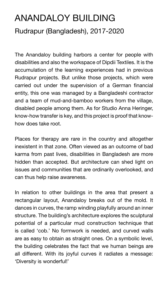# ANANDALOY BUILDING

Rudrapur (Bangladesh), 2017-2020

The Anandaloy building harbors a center for people with disabilities and also the workspace of Dipdii Textiles. It is the accumulation of the learning experiences had in previous Rudrapur projects. But unlike those projects, which were carried out under the supervision of a German financial entity, this one was managed by a Bangladeshi contractor and a team of mud-and-bamboo workers from the village, disabled people among them. As for Studio Anna Heringer, know-how transfer is key, and this project is proof that knowhow does take root.

Places for therapy are rare in the country and altogether inexistent in that zone. Often viewed as an outcome of bad karma from past lives, disabilities in Bangladesh are more hidden than accepted. But architecture can shed light on issues and communities that are ordinarily overlooked, and can thus help raise awareness.

In relation to other buildings in the area that present a rectangular layout, Anandaloy breaks out of the mold. It dances in curves, the ramp winding playfully around an inner structure. The building's architecture explores the sculptural potential of a particular mud construction technique that is called 'cob.' No formwork is needed, and curved walls are as easy to obtain as straight ones. On a symbolic level, the building celebrates the fact that we human beings are all different. With its joyful curves it radiates a message: 'Diversity is wonderful!'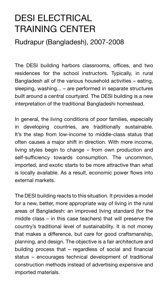### DESI ELECTRICAL TRAINING CENTER

#### Rudrapur (Bangladesh), 2007-2008

The DESI building harbors classrooms, offices, and two residences for the school instructors. Typically, in rural Bangladesh all of the various household activities – eating, sleeping, washing... – are performed in separate structures built around a central courtyard. The DESI building is a new interpretation of the traditional Bangladeshi homestead.

In general, the living conditions of poor families, especially in developing countries, are traditionally sustainable. It's the step from low-income to middle-class status that often causes a major shift in direction. With more income, living styles begin to change – from own production and self-sufficiency towards consumption. The uncommon, imported, and exotic starts to be more attractive than what is locally available. As a result, economic power flows into external markets.

The DESI building reacts to this situation. It provides a model for a new, better, more appropriate way of living in the rural areas of Bangladesh: an improved living standard (for the middle class – in this case teachers) that will preserve the country's traditional level of sustainability. It is not money that makes a difference, but care for good craftsmanship, planning, and design. The objective is a fair architecture and building process that – regardless of social and financial status – encourages technical development of traditional construction methods instead of advertising expensive and imported materials.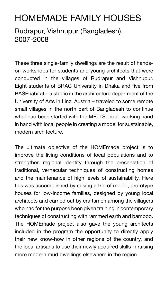### HOMEMADE FAMILY HOUSES

Rudrapur, Vishnupur (Bangladesh), 2007-2008

These three single-family dwellings are the result of handson workshops for students and young architects that were conducted in the villages of Rudrapur and Vishnupur. Eight students of BRAC University in Dhaka and five from BASEhabitat – a studio in the architecture department of the University of Arts in Linz, Austria – traveled to some remote small villages in the north part of Bangladesh to continue what had been started with the METI School: working hand in hand with local people in creating a model for sustainable, modern architecture.

The ultimate objective of the HOMEmade project is to improve the living conditions of local populations and to strengthen regional identity through the preservation of traditional, vernacular techniques of constructing homes and the maintenance of high levels of sustainability. Here this was accomplished by raising a trio of model, prototype houses for low-income families, designed by young local architects and carried out by craftsmen among the villagers who had for the purpose been given training in contemporary techniques of constructing with rammed earth and bamboo. The HOMEmade project also gave the young architects included in the program the opportunity to directly apply their new know-how in other regions of the country, and the local artisans to use their newly acquired skills in raising more modern mud dwellings elsewhere in the region.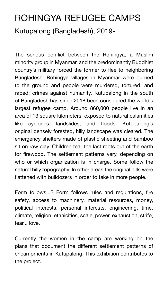### ROHINGYA REFUGEE CAMPS

Kutupalong (Bangladesh), 2019-

The serious conflict between the Rohingya, a Muslim minority group in Myanmar, and the predominantly Buddhist country's military forced the former to flee to neighboring Bangladesh. Rohingya villages in Myanmar were burned to the ground and people were murdered, tortured, and raped: crimes against humanity. Kutupalong in the south of Bangladesh has since 2018 been considered the world's largest refugee camp. Around 860,000 people live in an area of 13 square kilometers, exposed to natural calamities like cyclones, landslides, and floods. Kutupalong's original densely forested, hilly landscape was cleared. The emergency shelters made of plastic sheeting and bamboo sit on raw clay. Children tear the last roots out of the earth for firewood. The settlement patterns vary, depending on who or which organization is in charge. Some follow the natural hilly topography. In other areas the original hills were flattened with bulldozers in order to take in more people.

Form follows...? Form follows rules and regulations, fire safety, access to machinery, material resources, money, political interests, personal interests, engineering, time, climate, religion, ethnicities, scale, power, exhaustion, strife, fear... love.

Currently the women in the camp are working on the plans that document the different settlement patterns of encampments in Kutupalong. This exhibition contributes to the project.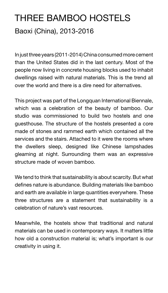# THREE BAMBOO HOSTELS

Baoxi (China), 2013-2016

In just three years (2011-2014) China consumed more cement than the United States did in the last century. Most of the people now living in concrete housing blocks used to inhabit dwellings raised with natural materials. This is the trend all over the world and there is a dire need for alternatives.

This project was part of the Longquan International Biennale, which was a celebration of the beauty of bamboo. Our studio was commissioned to build two hostels and one guesthouse. The structure of the hostels presented a core made of stones and rammed earth which contained all the services and the stairs. Attached to it were the rooms where the dwellers sleep, designed like Chinese lampshades gleaming at night. Surrounding them was an expressive structure made of woven bamboo.

We tend to think that sustainability is about scarcity. But what defines nature is abundance. Building materials like bamboo and earth are available in large quantities everywhere. These three structures are a statement that sustainability is a celebration of nature's vast resources.

Meanwhile, the hostels show that traditional and natural materials can be used in contemporary ways. It matters little how old a construction material is; what's important is our creativity in using it.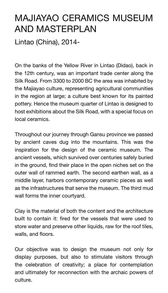### MAJIAYAO CERAMICS MUSEUM AND MASTERPLAN

Lintao (China), 2014-

On the banks of the Yellow River in Lintao (Didao), back in the 12th century, was an important trade center along the Silk Road. From 3300 to 2000 BC the area was inhabited by the Majiayao culture, representing agricultural communities in the region at large; a culture best known for its painted pottery. Hence the museum quarter of Lintao is designed to host exhibitions about the Silk Road, with a special focus on local ceramics.

Throughout our journey through Gansu province we passed by ancient caves dug into the mountains. This was the inspiration for the design of the ceramic museum. The ancient vessels, which survived over centuries safely buried in the ground, find their place in the open niches set on the outer wall of rammed earth. The second earthen wall, as a middle layer, harbors contemporary ceramic pieces as well as the infrastructures that serve the museum. The third mud wall forms the inner courtyard.

Clay is the material of both the content and the architecture built to contain it: fired for the vessels that were used to store water and preserve other liquids, raw for the roof tiles, walls, and floors.

Our objective was to design the museum not only for display purposes, but also to stimulate visitors through the celebration of creativity; a place for contemplation and ultimately for reconnection with the archaic powers of culture.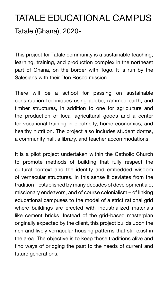## TATALE EDUCATIONAL CAMPUS

#### Tatale (Ghana), 2020-

This project for Tatale community is a sustainable teaching, learning, training, and production complex in the northeast part of Ghana, on the border with Togo. It is run by the Salesians with their Don Bosco mission.

There will be a school for passing on sustainable construction techniques using adobe, rammed earth, and timber structures, in addition to one for agriculture and the production of local agricultural goods and a center for vocational training in electricity, home economics, and healthy nutrition. The project also includes student dorms, a community hall, a library, and teacher accommodations.

It is a pilot project undertaken within the Catholic Church to promote methods of building that fully respect the cultural context and the identity and embedded wisdom of vernacular structures. In this sense it deviates from the tradition – established by many decades of development aid, missionary endeavors, and of course colonialism – of linking educational campuses to the model of a strict rational grid where buildings are erected with industrialized materials like cement bricks. Instead of the grid-based masterplan originally expected by the client, this project builds upon the rich and lively vernacular housing patterns that still exist in the area. The objective is to keep those traditions alive and find ways of bridging the past to the needs of current and future generations.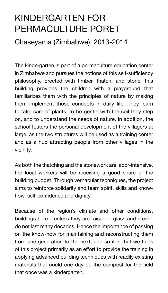### KINDERGARTEN FOR PERMACULTURE PORET

#### Chaseyama (Zimbabwe), 2013-2014

The kindergarten is part of a permaculture education center in Zimbabwe and pursues the notions of this self-sufficiency philosophy. Erected with timber, thatch, and stone, this building provides the children with a playground that familiarizes them with the principles of nature by making them implement those concepts in daily life. They learn to take care of plants, to be gentle with the soil they step on, and to understand the needs of nature. In addition, the school fosters the personal development of the villagers at large, as the two structures will be used as a training center and as a hub attracting people from other villages in the vicinity.

As both the thatching and the stonework are labor-intensive, the local workers will be receiving a good share of the building budget. Through vernacular techniques, the project aims to reinforce solidarity and team spirit, skills and knowhow, self-confidence and dignity.

Because of the region's climate and other conditions, buildings here – unless they are raised in glass and steel – do not last many decades. Hence the importance of passing on the know-how for maintaining and reconstructing them from one generation to the next, and so it is that we think of this project primarily as an effort to provide the training in applying advanced building techniques with readily existing materials that could one day be the compost for the field that once was a kindergarten.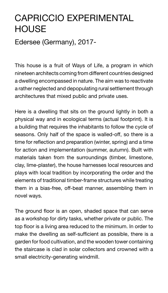### CAPRICCIO EXPERIMENTAL **HOUSE**

Edersee (Germany), 2017-

This house is a fruit of Ways of Life, a program in which nineteen architects coming from different countries designed a dwelling encompassed in nature. The aim was to reactivate a rather neglected and depopulating rural settlement through architectures that mixed public and private uses.

Here is a dwelling that sits on the ground lightly in both a physical way and in ecological terms (actual footprint). It is a building that requires the inhabitants to follow the cycle of seasons. Only half of the space is walled-off, so there is a time for reflection and preparation (winter, spring) and a time for action and implementation (summer, autumn). Built with materials taken from the surroundings (timber, limestone, clay, lime-plaster), the house harnesses local resources and plays with local tradition by incorporating the order and the elements of traditional timber-frame structures while treating them in a bias-free, off-beat manner, assembling them in novel ways.

The ground floor is an open, shaded space that can serve as a workshop for dirty tasks, whether private or public. The top floor is a living area reduced to the minimum. In order to make the dwelling as self-sufficient as possible, there is a garden for food cultivation, and the wooden tower containing the staircase is clad in solar collectors and crowned with a small electricity-generating windmill.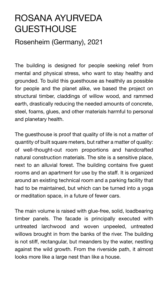### ROSANA AYURVEDA **GUESTHOUSE**

#### Rosenheim (Germany), 2021

The building is designed for people seeking relief from mental and physical stress, who want to stay healthy and grounded. To build this guesthouse as healthily as possible for people and the planet alike, we based the project on structural timber, claddings of willow wood, and rammed earth, drastically reducing the needed amounts of concrete, steel, foams, glues, and other materials harmful to personal and planetary health.

The guesthouse is proof that quality of life is not a matter of quantity of built square meters, but rather a matter of quality: of well-thought-out room proportions and handcrafted natural construction materials. The site is a sensitive place, next to an alluvial forest. The building contains five guest rooms and an apartment for use by the staff. It is organized around an existing technical room and a parking facility that had to be maintained, but which can be turned into a yoga or meditation space, in a future of fewer cars.

The main volume is raised with glue-free, solid, loadbearing timber panels. The facade is principally executed with untreated larchwood and woven unpeeled, untreated willows brought in from the banks of the river. The building is not stiff, rectangular, but meanders by the water, nestling against the wild growth. From the riverside path, it almost looks more like a large nest than like a house.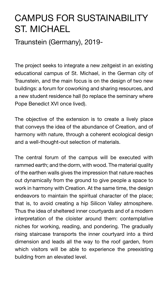### CAMPUS FOR SUSTAINABILITY ST. MICHAEL

Traunstein (Germany), 2019-

The project seeks to integrate a new zeitgeist in an existing educational campus of St. Michael, in the German city of Traunstein, and the main focus is on the design of two new buildings: a forum for coworking and sharing resources, and a new student residence hall (to replace the seminary where Pope Benedict XVI once lived).

The objective of the extension is to create a lively place that conveys the idea of the abundance of Creation, and of harmony with nature, through a coherent ecological design and a well-thought-out selection of materials.

The central forum of the campus will be executed with rammed earth; and the dorm, with wood. The material quality of the earthen walls gives the impression that nature reaches out dynamically from the ground to give people a space to work in harmony with Creation. At the same time, the design endeavors to maintain the spiritual character of the place; that is, to avoid creating a hip Silicon Valley atmosphere. Thus the idea of sheltered inner courtyards and of a modern interpretation of the cloister around them: contemplative niches for working, reading, and pondering. The gradually rising staircase transports the inner courtyard into a third dimension and leads all the way to the roof garden, from which visitors will be able to experience the preexisting building from an elevated level.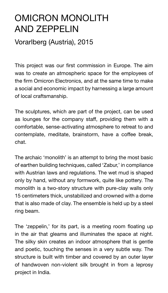### OMICRON MONOLITH AND ZEPPELIN

Vorarlberg (Austria), 2015

This project was our first commission in Europe. The aim was to create an atmospheric space for the employees of the firm Omicron Electronics, and at the same time to make a social and economic impact by harnessing a large amount of local craftsmanship.

The sculptures, which are part of the project, can be used as lounges for the company staff, providing them with a comfortable, sense-activating atmosphere to retreat to and contemplate, meditate, brainstorm, have a coffee break, chat.

The archaic 'monolith' is an attempt to bring the most basic of earthen building techniques, called 'Zabur,' in compliance with Austrian laws and regulations. The wet mud is shaped only by hand, without any formwork, quite like pottery. The monolith is a two-story structure with pure-clay walls only 15 centimeters thick, unstabilized and crowned with a dome that is also made of clay. The ensemble is held up by a steel ring beam.

The 'zeppelin,' for its part, is a meeting room floating up in the air that gleams and illuminates the space at night. The silky skin creates an indoor atmosphere that is gentle and poetic, touching the senses in a very subtle way. The structure is built with timber and covered by an outer layer of handwoven non-violent silk brought in from a leprosy project in India.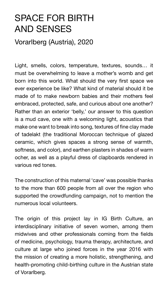### SPACE FOR BIRTH AND SENSES

Vorarlberg (Austria), 2020

Light, smells, colors, temperature, textures, sounds… it must be overwhelming to leave a mother's womb and get born into this world. What should the very first space we ever experience be like? What kind of material should it be made of to make newborn babies and their mothers feel embraced, protected, safe, and curious about one another? Rather than an exterior 'belly,' our answer to this question is a mud cave, one with a welcoming light, acoustics that make one want to break into song, textures of fine clay made of tadelakt (the traditional Moroccan technique of glazed ceramic, which gives spaces a strong sense of warmth, softness, and color), and earthen plasters in shades of warm ocher, as well as a playful dress of clapboards rendered in various red tones.

The construction of this maternal 'cave' was possible thanks to the more than 600 people from all over the region who supported the crowdfunding campaign, not to mention the numerous local volunteers.

The origin of this project lay in IG Birth Culture, an interdisciplinary initiative of seven women, among them midwives and other professionals coming from the fields of medicine, psychology, trauma therapy, architecture, and culture at large who joined forces in the year 2016 with the mission of creating a more holistic, strengthening, and health-promoting child-birthing culture in the Austrian state of Vorarlberg.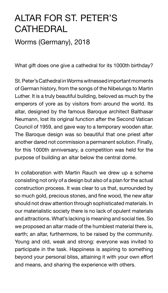### ALTAR FOR ST. PETER'S **CATHEDRAL**

Worms (Germany), 2018

What gift does one give a cathedral for its 1000th birthday?

St. Peter's Cathedral in Worms witnessed important moments of German history, from the songs of the Nibelungs to Martin Luther. It is a truly beautiful building, beloved as much by the emperors of yore as by visitors from around the world. Its altar, designed by the famous Baroque architect Balthasar Neumann, lost its original function after the Second Vatican Council of 1959, and gave way to a temporary wooden altar. The Baroque design was so beautiful that one priest after another dared not commission a permanent solution. Finally, for this 1000th anniversary, a competition was held for the purpose of building an altar below the central dome.

In collaboration with Martin Rauch we drew up a scheme consisting not only of a design but also of a plan for the actual construction process. It was clear to us that, surrounded by so much gold, precious stones, and fine wood, the new altar should not draw attention through sophisticated materials. In our materialistic society there is no lack of opulent materials and attractions. What's lacking is meaning and social ties. So we proposed an altar made of the humblest material there is, earth; an altar, furthermore, to be raised by the community. Young and old, weak and strong: everyone was invited to participate in the task. Happiness is aspiring to something beyond your personal bliss, attaining it with your own effort and means, and sharing the experience with others.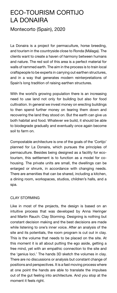### ECO-TOURISM CORTIJO LA DONAIRA

Montecorto (Spain), 2020

La Donaira is a project for permaculture, horse breeding, and tourism in the countryside close to Ronda (Málaga). The clients want to create a haven of harmony between humans and nature. The red soil of this area is a perfect material for walls of rammed earth. The aim in the process is to train local craftspeople to be experts in carrying out earthen structures, and in a way that generates modern reinterpretations of Spain's long tradition of raising earthen structures.

With the world's growing population there is an increasing need to use land not only for building but also for food cultivation. In general we invest money on erecting buildings to then spend further money on tearing them down and recovering the land they stood on. But the earth can give us both habitat and food. Whatever we build, it should be able to biodegrade gradually and eventually once again become soil to farm on.

Compostable architecture is one of the goals of the 'Cortijo' planned for La Donaira, which pursues the principles of permaculture. Besides being designed as a facility for ecotourism, this settlement is to function as a model for cohousing. The private units are small, the dwellings can be enlarged or shrunk, in accordance with changing needs. There are amenities that can be shared, including a kitchen, a dining room, workspaces, studios, children's halls, and a spa.

#### CLAY STORMING

Like in most of the projects, the design is based on an intuitive process that was developed by Anna Heringer and Martin Rauch: Clay Storming. Designing is nothing but constant decision making and the best decisions are made while listening to one's inner voice. After an analysis of the site and its potentials, the room program is cut out in clay. This is the volume that needs to be placed on the site. At this moment it is all about putting the ego aside, getting a free mind, yet with an empathic connection to the site and the 'genius loci.' The hands 3D sketch the volumes in clay. There are no discussions or analysis but constant change of positions and perspectives. It is a fast moving process where at one point the hands are able to translate the impulses out of the gut feeling into architecture. And you stop at the moment it feels right.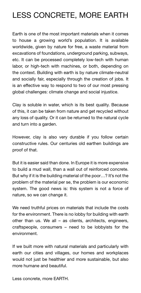## LESS CONCRETE, MORE EARTH

Earth is one of the most important materials when it comes to house a growing world's population. It is available worldwide, given by nature for free, a waste material from excavations of foundations, underground parking, subways, etc. It can be processed completely low-tech with human labor, or high-tech with machines, or both, depending on the context. Building with earth is by nature climate-neutral and socially fair, especially through the creation of jobs. It is an effective way to respond to two of our most pressing global challenges: climate change and social injustice.

Clay is soluble in water, which is its best quality. Because of this, it can be taken from nature and get recycled without any loss of quality. Or it can be returned to the natural cycle and turn into a garden.

However, clay is also very durable if you follow certain constructive rules. Our centuries old earthen buildings are proof of that.

But it is easier said than done. In Europe it is more expensive to build a mud wall, than a wall out of reinforced concrete. But why if it is the building material of the poor…? It's not the problem of the material per se, the problem is our economic system. The good news is: this system is not a force of nature, so we can change it.

We need truthful prices on materials that include the costs for the environment. There is no lobby for building with earth other than us. We all – as clients, architects, engineers, craftspeople, consumers – need to be lobbyists for the environment.

If we built more with natural materials and particularly with earth our cities and villages, our homes and workplaces would not just be healthier and more sustainable, but also more humane and beautiful.

Less concrete, more EARTH.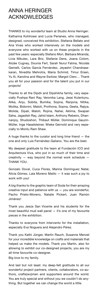### ANNA HERINGER ACKNOWLEDGES

THANKS to my wonderful team at Studio Anna Heringer: Katharina Kohlroser and Lucía Perianes, who managed, designed, conceived this exhibition, Stefania Bellato and Ana Vives who worked intensively on the models and everyone who worked with us on these projects in the past few years: especially Stefano Mori, Bárbara Miranda, Livia Mikulec, Lara Briz, Stefanie Dens, Joana Colom, Alizée Cugney, Dounia Fert, Sarah Nurul Fatma, Nicolás Gemelli, Carlos García Fernández, Jeyashri Chandrasekaran, Nivedita Mehrotra, Maria Schmid, Timur Ersen, Yu Xi, Karolina and Wayne Switzer, Margot Clerc… Thank you all for your passion and for the talent you put in our projects!

A huge thanks to the curator and long time friend  $-$  the one and only Luis Fernández-Galiano. You are the best.

Thanks to all the Dipdii and Dipshikha family, very especially Pushpa Rani Ray, Veronika Lang, Jessi Kulentunu, Alika, Anju, Sobita, Bumika, Sopna, Ranjona, Nitika, Molika, Bidonini, Maloti, Prothona, Sopna, Geeta, Rajiya, Molida, Dipali, Maloti, Rojina, Naher, Aklima, Swapan Saha, Jagadish Ray, Jahid Islam, Anthony Rebeiro, Dhannanjoy, Shudoshon, Thibaut Müller, Dominique Gauzin-Müller, Inge Haselsteiner, Wieke Gernold and very especially to Montu Ram Shaw.

My deepest gratitude to the team at Fundación ICO and Arquitectura Viva, who put in so much of their time and creativity  $-$  way beyond the normal work schedule  $-$ THANK YOU.

Gonzalo Doval, Cuca Flores, Marina Domínguez Natal, Alicia Gómez, Laia Moreno Maillo — it was such a joy to work with you!

A big thanks to the graphic team of Soda for their amazing creative input and patience with us — you are wonderful, Pacho Prieto-Moreno, Natalie Pickert, Juan Ramón Jiménez!

Thank you Jesús San Vicente and his students for the most beautiful mud wall panel — it's one of my favourite pieces in the exhibition.

Thanks to everyone from lntervento for the installation, especially Eva Noguera and Alejandro Pérez.

Thank you Kathi Jünger, Martin Rauch, Susanne Menzel for your incredible knowledge on crafts and materials that helped us make the models. Thank you Martin, also for allowing to exhibit our co-designed projects, you are my all-time favourite co-designer.

Big love to my family.

And last but not least: my deep-felt gratitude to all our wonderful project partners, clients, collaborators, co-authors, crafts(wo)men and supporters around the world. You are truly special and without you we couldn't do anything. But together we can change the world a little.